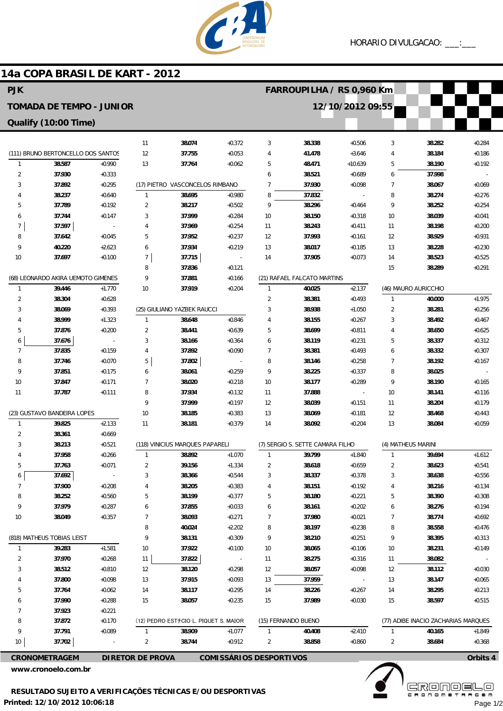

## 11 12 13 (17) PIETRO VASCONCELOS RIMBANO 1 2 3 4 5 6 7 8 9 10 (25) GIULIANO YAZBEK RAUCCI 1 2 3 4 5 6 7 8 9 10 11 (118) VINICIUS MARQUES PAPARELI 1 2 3 4 5 6 7 8 9 10 11 12 13 14 15 (12) PEDRO ESTチCIO L. PIQUET S. MAIOR 1  $\overline{2}$ **38.074 37.755 37.764 38.695 38.217 37.999 37.969 37.952 37.934 37.715 37.836 37.881 37.919 38.648 38.441 38.166 37.892 37.802 38.061 38.020 37.934 37.999 38.185 38.181 38.892 39.156 38.366 38.205 38.199 37.855 38.093 40.024 38.131 37.922 37.822 38.120 37.915 38.117 38.057 38.909 38.744** +0.372 +0.053 +0.062 +0.980 +0.502 +0.284  $+0.254$ +0.237  $+0.219$ - +0.121 +0.166 +0.204 +0.846 +0.639 +0.364 +0.090 - +0.259 +0.218 +0.132 +0.197 +0.383 +0.379 +1.070 +1.334 +0.544 +0.383 +0.377 +0.033 +0.271 +2.202 +0.309  $+0.100$ - +0.298 +0.093 +0.295 +0.235 +1.077 +0.912 3 4 5 6 7 8 9 10 11 12 13 14 (21) RAFAEL FALCATO MARTINS 1 2 3 4 5 6 7 8 9 10 11 12 13 14 (7) SERGIO S. SETTE CAMARA FILHO 1 2 3 4 5 6 7 8 9 10 11 12 13 14 15 (15) FERNANDO BUENO 1  $\overline{2}$ **38.338 41.478 48.471 38.521 37.930 37.832 38.296 38.150 38.243 37.993 38.017 37.905 40.025 38.381 38.938 38.155 38.699 38.119 38.381 38.146 38.225 38.177 37.888 38.039 38.069 38.092 39.799 38.618 38.337 38.151 38.180 38.161 37.980 38.197 38.210 38.065 38.275 38.057 37.959 38.226 37.989 40.408 38.858** +0.506 +3.646 +10.639 +0.689 +0.098 - +0.464 +0.318  $+0.411$ +0.161  $+0.185$ +0.073 +2.137 +0.493 +1.050 +0.267 +0.811 +0.231 +0.493  $+0.258$ +0.337 +0.289 - +0.151 +0.181 +0.204 +1.840 +0.659 +0.378 +0.192 +0.221 +0.202 +0.021 +0.238 +0.251 +0.106 +0.316 +0.098 - +0.267 +0.030  $+2.410$ +0.860 3 4 5 6 7 8  $\alpha$ 10 11 12 13 14 15 (46) MAURO AURICCHIO 1  $\overline{2}$ 3 4 5 6 7 8  $\overline{q}$ 10 11 12 13 (4) MATHEUS MARINI 1 2 3 4 5 6 7 8 9 10 11 12 13 14 15 (77) ADIBE INACIO ZACHARIAS MARQUES 1 2 **38.282 38.184 38.190 37.998 38.067 38.274 38.252 38.039 38.198 38.929 38.228 38.523 38.289 40.000 38.281 38.492 38.650 38.337 38.332 38.192 38.025 38.190 38.141 38.204 38.468 38.084 39.694 38.623 38.638 38.216 38.390 38.276 38.774 38.558 38.395 38.231 38.082 38.112 38.147 38.295 38.597 40.165 38.684** +0.284 +0.186 +0.192 - +0.069 +0.276 +0.254 +0.041 +0.200 +0.931  $+0.230$  $+0.525$ +0.291 +1.975 +0.256 +0.467 +0.625  $+0.312$ +0.307  $+0.167$ - +0.165  $+0.116$ +0.179  $+0.443$ +0.059 +1.612 +0.541 +0.556 +0.134 +0.308 +0.194 +0.692 +0.476 +0.313  $+0.149$ - +0.030 +0.065 +0.213 +0.515 +1.849 +0.368 (111) BRUNO BERTONCELLO DOS SANTOS 1 2 3 4 5 6 7 8 9 10 (68) LEONARDO AKIRA UEMOTO GIMENES 1 2 3 4 5 6 7 8 9 10 11 (23) GUSTAVO BANDEIRA LOPES 1 2 3 4 5 6 7 8  $\overline{9}$ 10 (818) MATHEUS TOBIAS LEIST 1 2 3 4 5 6 7 8 9 10 **38.587 37.930 37.892 38.237 37.789 37.744 37.597 37.642 40.220 37.697 39.446 38.304 38.069 38.999 37.876 37.676 37.835 37.746 37.851 37.847 37.787 39.825 38.361 38.213 37.958 37.763 37.692 37.900 38.252 37.979 38.049 39.283 37.970 38.512 37.800 37.764 37.990 37.923 37.872 37.791 37.702**  $+0.990$ +0.333 +0.295 +0.640 +0.192 +0.147 - +0.045  $+2.623$  $+0.100$ +1.770 +0.628 +0.393 +1.323 +0.200 - +0.159 +0.070 +0.175 +0.171 +0.111 +2.133 +0.669 +0.521 +0.266 +0.071 - +0.208 +0.560 +0.287 +0.357 +1.581 +0.268 +0.810 +0.098 +0.062 +0.288 +0.221  $+0.170$ +0.089 - **CRONOMETRAGEM DIRETOR DE PROVA COMISSÁRIOS DESPORTIVOS Orbits 4 14a COPA BRASIL DE KART - 2012 PJK TOMADA DE TEMPO - JUNIOR Qualify (10:00 Time) FARROUPILHA / RS 0,960 Km 12/10/2012 09:55**

**www.cronoelo.com.br**

**www.mylaps.com Licensed to: Cronoelo** Page 1/2